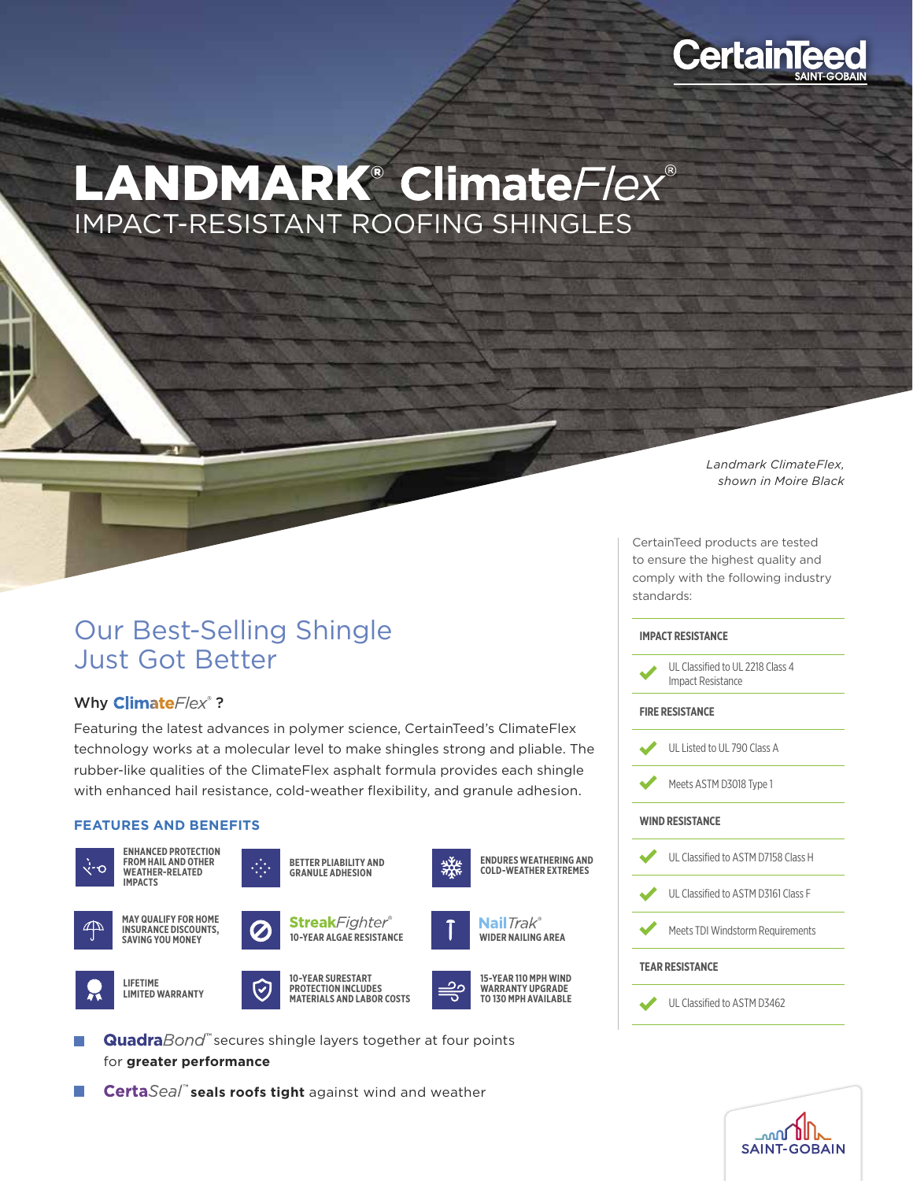LANDMARK® ClimateFlex® IMPACT-RESISTANT ROOFING SHINGLES

> *Landmark ClimateFlex, shown in Moire Black*

**CertainTeed** 

CertainTeed products are tested to ensure the highest quality and comply with the following industry standards:

#### **IMPACT RESISTANCE**



տալ ]]| ի **SAINT-GOBAIN** 

## Our Best-Selling Shingle Just Got Better

### Why Climate $Flex^*$  ?

Featuring the latest advances in polymer science, CertainTeed's ClimateFlex technology works at a molecular level to make shingles strong and pliable. The rubber-like qualities of the ClimateFlex asphalt formula provides each shingle with enhanced hail resistance, cold-weather flexibility, and granule adhesion.

#### **FEATURES AND BENEFITS**



- **Quadra**Bond" secures shingle layers together at four points for **greater performance**
- **Certa**Seal" seals roofs tight against wind and weather